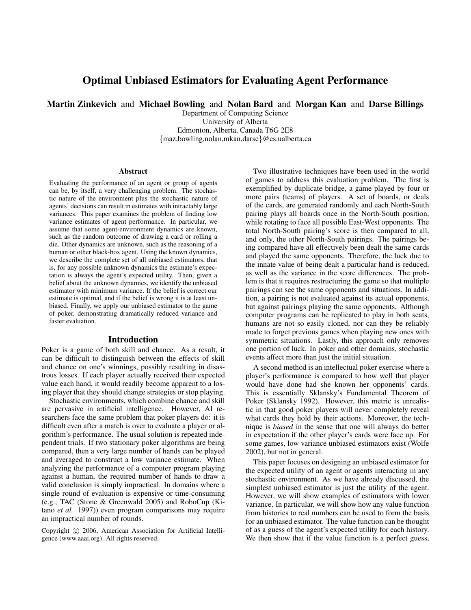# Optimal Unbiased Estimators for Evaluating Agent Performance

Martin Zinkevich and Michael Bowling and Nolan Bard and Morgan Kan and Darse Billings

Department of Computing Science University of Alberta Edmonton, Alberta, Canada T6G 2E8 {maz,bowling,nolan,mkan,darse}@cs.ualberta.ca

#### **Abstract**

Evaluating the performance of an agent or group of agents can be, by itself, a very challenging problem. The stochastic nature of the environment plus the stochastic nature of agents' decisions can result in estimates with intractably large variances. This paper examines the problem of finding low variance estimates of agent performance. In particular, we assume that some agent-environment dynamics are known, such as the random outcome of drawing a card or rolling a die. Other dynamics are unknown, such as the reasoning of a human or other black-box agent. Using the known dynamics, we describe the complete set of all unbiased estimators, that is, for any possible unknown dynamics the estimate's expectation is always the agent's expected utility. Then, given a belief about the unknown dynamics, we identify the unbiased estimator with minimum variance. If the belief is correct our estimate is optimal, and if the belief is wrong it is at least unbiased. Finally, we apply our unbiased estimator to the game of poker, demonstrating dramatically reduced variance and faster evaluation.

### Introduction

Poker is a game of both skill and chance. As a result, it can be difficult to distinguish between the effects of skill and chance on one's winnings, possibly resulting in disastrous losses. If each player actually received their expected value each hand, it would readily become apparent to a losing player that they should change strategies or stop playing.

Stochastic environments, which combine chance and skill are pervasive in artificial intelligence. However, AI researchers face the same problem that poker players do: it is difficult even after a match is over to evaluate a player or algorithm's performance. The usual solution is repeated independent trials. If two stationary poker algorithms are being compared, then a very large number of hands can be played and averaged to construct a low variance estimate. When analyzing the performance of a computer program playing against a human, the required number of hands to draw a valid conclusion is simply impractical. In domains where a single round of evaluation is expensive or time-consuming (e.g., TAC (Stone & Greenwald 2005) and RoboCup (Kitano *et al.* 1997)) even program comparisons may require an impractical number of rounds.

Two illustrative techniques have been used in the world of games to address this evaluation problem. The first is exemplified by duplicate bridge, a game played by four or more pairs (teams) of players. A set of boards, or deals of the cards, are generated randomly and each North-South pairing plays all boards once in the North-South position, while rotating to face all possible East-West opponents. The total North-South pairing's score is then compared to all, and only, the other North-South pairings. The pairings being compared have all effectively been dealt the same cards and played the same opponents. Therefore, the luck due to the innate value of being dealt a particular hand is reduced, as well as the variance in the score differences. The problem is that it requires restructuring the game so that multiple pairings can see the same opponents and situations. In addition, a pairing is not evaluated against its actual opponents, but against pairings playing the same opponents. Although computer programs can be replicated to play in both seats, humans are not so easily cloned, nor can they be reliably made to forget previous games when playing new ones with symmetric situations. Lastly, this approach only removes one portion of luck. In poker and other domains, stochastic events affect more than just the initial situation.

A second method is an intellectual poker exercise where a player's performance is compared to how well that player would have done had she known her opponents' cards. This is essentially Sklansky's Fundamental Theorem of Poker (Sklansky 1992). However, this metric is unrealistic in that good poker players will never completely reveal what cards they hold by their actions. Moreover, the technique is *biased* in the sense that one will always do better in expectation if the other player's cards were face up. For some games, low variance unbiased estimators exist (Wolfe 2002), but not in general.

This paper focuses on designing an unbiased estimator for the expected utility of an agent or agents interacting in any stochastic environment. As we have already discussed, the simplest unbiased estimator is just the utility of the agent. However, we will show examples of estimators with lower variance. In particular, we will show how any value function from histories to real numbers can be used to form the basis for an unbiased estimator. The value function can be thought of as a guess of the agent's expected utility for each history. We then show that if the value function is a perfect guess,

Copyright (c) 2006, American Association for Artificial Intelligence (www.aaai.org). All rights reserved.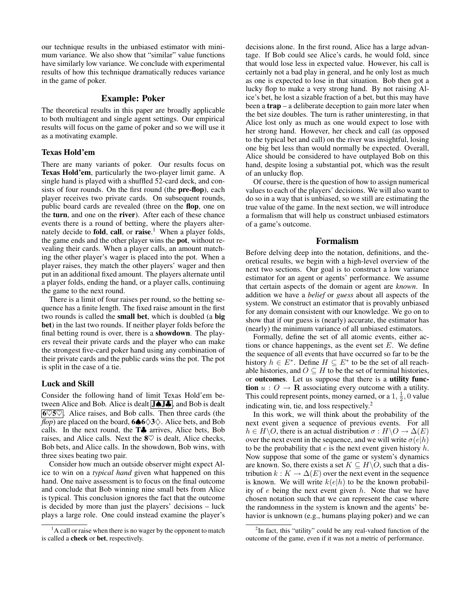our technique results in the unbiased estimator with minimum variance. We also show that "similar" value functions have similarly low variance. We conclude with experimental results of how this technique dramatically reduces variance in the game of poker.

# Example: Poker

The theoretical results in this paper are broadly applicable to both multiagent and single agent settings. Our empirical results will focus on the game of poker and so we will use it as a motivating example.

# Texas Hold'em

There are many variants of poker. Our results focus on Texas Hold'em, particularly the two-player limit game. A single hand is played with a shuffled 52-card deck, and consists of four rounds. On the first round (the **pre-flop**), each player receives two private cards. On subsequent rounds, public board cards are revealed (three on the flop, one on the turn, and one on the river). After each of these chance events there is a round of betting, where the players alternately decide to **fold**, call, or raise.<sup>1</sup> When a player folds, the game ends and the other player wins the pot, without revealing their cards. When a player calls, an amount matching the other player's wager is placed into the pot. When a player raises, they match the other players' wager and then put in an additional fixed amount. The players alternate until a player folds, ending the hand, or a player calls, continuing the game to the next round.

There is a limit of four raises per round, so the betting sequence has a finite length. The fixed raise amount in the first two rounds is called the small bet, which is doubled (a big bet) in the last two rounds. If neither player folds before the final betting round is over, there is a showdown. The players reveal their private cards and the player who can make the strongest five-card poker hand using any combination of their private cards and the public cards wins the pot. The pot is split in the case of a tie.

# Luck and Skill

Consider the following hand of limit Texas Hold'em between Alice and Bob. Alice is dealt J♠J♣, and Bob is dealt  $60\%$ . Alice raises, and Bob calls. Then three cards (the  $flop$ ) are placed on the board, 6 $\bigtriangleup 6 \bigotimes 3 \bigtriangleup$ . Alice bets, and Bob calls. In the next round, the T♣ arrives, Alice bets, Bob raises, and Alice calls. Next the  $8\%$  is dealt, Alice checks, Bob bets, and Alice calls. In the showdown, Bob wins, with three sixes beating two pair.

Consider how much an outside observer might expect Alice to win on a *typical hand* given what happened on this hand. One naive assessment is to focus on the final outcome and conclude that Bob winning nine small bets from Alice is typical. This conclusion ignores the fact that the outcome is decided by more than just the players' decisions – luck plays a large role. One could instead examine the player's

decisions alone. In the first round, Alice has a large advantage. If Bob could see Alice's cards, he would fold, since that would lose less in expected value. However, his call is certainly not a bad play in general, and he only lost as much as one is expected to lose in that situation. Bob then got a lucky flop to make a very strong hand. By not raising Alice's bet, he lost a sizable fraction of a bet, but this may have been a **trap** – a deliberate deception to gain more later when the bet size doubles. The turn is rather uninteresting, in that Alice lost only as much as one would expect to lose with her strong hand. However, her check and call (as opposed to the typical bet and call) on the river was insightful, losing one big bet less than would normally be expected. Overall, Alice should be considered to have outplayed Bob on this hand, despite losing a substantial pot, which was the result of an unlucky flop.

Of course, there is the question of how to assign numerical values to each of the players' decisions. We will also want to do so in a way that is unbiased, so we still are estimating the true value of the game. In the next section, we will introduce a formalism that will help us construct unbiased estimators of a game's outcome.

# Formalism

Before delving deep into the notation, definitions, and theoretical results, we begin with a high-level overview of the next two sections. Our goal is to construct a low variance estimator for an agent or agents' performance. We assume that certain aspects of the domain or agent are *known*. In addition we have a *belief* or *guess* about all aspects of the system. We construct an estimator that is provably unbiased for any domain consistent with our knowledge. We go on to show that if our guess is (nearly) accurate, the estimator has (nearly) the minimum variance of all unbiased estimators.

Formally, define the set of all atomic events, either actions or chance happenings, as the event set  $E$ . We define the sequence of all events that have occurred so far to be the history  $h \in E^*$ . Define  $H \subseteq E^*$  to be the set of all reachable histories, and  $O \subseteq H$  to be the set of terminal histories, or outcomes. Let us suppose that there is a utility function  $u: O \to \mathbf{R}$  associating every outcome with a utility. This could represent points, money earned, or a  $1, \frac{1}{2}, 0$  value indicating win, tie, and loss respectively.<sup>2</sup>

In this work, we will think about the probability of the next event given a sequence of previous events. For all  $h \in H \backslash O$ , there is an actual distribution  $\sigma : H \backslash O \to \Delta(E)$ over the next event in the sequence, and we will write  $\sigma(e|h)$ to be the probability that  $e$  is the next event given history  $h$ . Now suppose that some of the game or system's dynamics are known. So, there exists a set  $K \subseteq H\backslash O$ , such that a distribution  $k : K \to \Delta(E)$  over the next event in the sequence is known. We will write  $k(e|h)$  to be the known probability of  $e$  being the next event given  $h$ . Note that we have chosen notation such that we can represent the case where the randomness in the system is known and the agents' behavior is unknown (e.g., humans playing poker) and we can

 $<sup>1</sup>A$  call or raise when there is no wager by the opponent to match</sup> is called a check or bet, respectively.

<sup>&</sup>lt;sup>2</sup>In fact, this "utility" could be any real-valued function of the outcome of the game, even if it was not a metric of performance.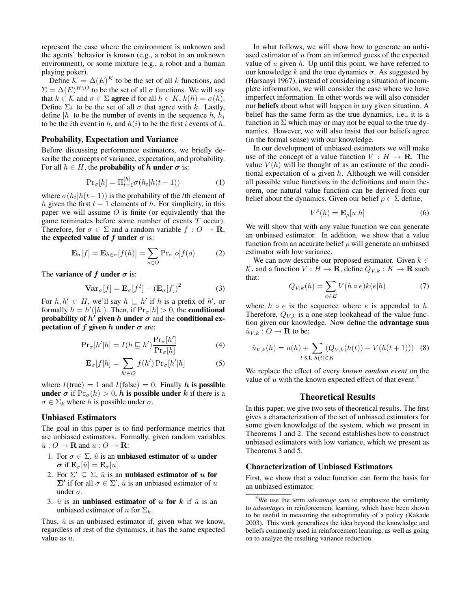represent the case where the environment is unknown and the agents' behavior is known (e.g., a robot in an unknown environment), or some mixture (e.g., a robot and a human playing poker).

Define  $\mathcal{K} = \Delta(E)^K$  to be the set of all k functions, and  $\Sigma = \Delta(E)^{H \setminus O}$  to be the set of all  $\sigma$  functions. We will say that  $k \in K$  and  $\sigma \in \Sigma$  agree if for all  $h \in K$ ,  $k(h) = \sigma(h)$ . Define  $\Sigma_k$  to be the set of all  $\sigma$  that agree with k. Lastly, define |h| to be the number of events in the sequence  $h, h_i$ to be the *i*th event in h, and  $h(i)$  to be the first i events of h.

### Probability, Expectation and Variance

Before discussing performance estimators, we briefly describe the concepts of variance, expectation, and probability. For all  $h \in H$ , the **probability of h under**  $\sigma$  is:

$$
\Pr_{\sigma}[h] = \Pi_{t=1}^{|h|} \sigma(h_t | h(t-1))
$$
 (1)

where  $\sigma(h_t|h(t-1))$  is the probability of the tth element of h given the first  $t - 1$  elements of h. For simplicity, in this paper we will assume  $O$  is finite (or equivalently that the game terminates before some number of events T occur). Therefore, for  $\sigma \in \Sigma$  and a random variable  $f: O \to \mathbf{R}$ , the expected value of f under  $\sigma$  is:

$$
\mathbf{E}_{\sigma}[f] = \mathbf{E}_{h \in \sigma}[f(h)] = \sum_{o \in O} \Pr_{\sigma}[o]f(o)
$$
 (2)

The variance of f under  $\sigma$  is:

$$
\mathbf{Var}_{\sigma}[f] = \mathbf{E}_{\sigma}[f^2] - (\mathbf{E}_{\sigma}[f])^2 \tag{3}
$$

For  $h, h' \in H$ , we'll say  $h \sqsubseteq h'$  if h is a prefix of h', or formally  $h = h'(|h|)$ . Then, if  $Pr_{\sigma}[h] > 0$ , the **conditional** probability of  $h'$  given  $h$  under  $\sigma$  and the conditional expectation of f given h under  $\sigma$  are:

$$
\Pr_{\sigma}[h'|h] = I(h \sqsubseteq h') \frac{\Pr_{\sigma}[h']}{\Pr_{\sigma}[h]}
$$
(4)

$$
\mathbf{E}_{\sigma}[f|h] = \sum_{h' \in O} f(h') \Pr_{\sigma}[h'|h]
$$
 (5)

where  $I(\text{true}) = 1$  and  $I(\text{false}) = 0$ . Finally h is possible under  $\sigma$  if  $Pr_{\sigma}(h) > 0$ , h is possible under k if there is a  $\sigma \in \Sigma_k$  where h is possible under  $\sigma$ .

#### Unbiased Estimators

The goal in this paper is to find performance metrics that are unbiased estimators. Formally, given random variables  $\hat{u}: O \to \mathbf{R}$  and  $u: O \to \mathbf{R}$ :

- 1. For  $\sigma \in \Sigma$ ,  $\hat{u}$  is an unbiased estimator of u under  $\boldsymbol{\sigma}$  if  $\mathbf{E}_{\sigma}[\hat{u}] = \mathbf{E}_{\sigma}[u].$
- 2. For  $\Sigma' \subseteq \Sigma$ ,  $\hat{u}$  is an unbiased estimator of u for  $\Sigma'$  if for all  $\sigma \in \Sigma'$ ,  $\hat{u}$  is an unbiased estimator of u under  $\sigma$ .
- 3.  $\hat{u}$  is an unbiased estimator of u for k if  $\hat{u}$  is an unbiased estimator of u for  $\Sigma_k$ .

Thus,  $\hat{u}$  is an unbiased estimator if, given what we know, regardless of rest of the dynamics, it has the same expected value as  $u$ .

In what follows, we will show how to generate an unbiased estimator of  $u$  from an informed guess of the expected value of  $u$  given  $h$ . Up until this point, we have referred to our knowledge k and the true dynamics  $\sigma$ . As suggested by (Harsanyi 1967), instead of considering a situation of incomplete information, we will consider the case where we have imperfect information. In other words we will also consider our beliefs about what will happen in any given situation. A belief has the same form as the true dynamics, i.e., it is a function in  $\Sigma$  which may or may not be equal to the true dynamics. However, we will also insist that our beliefs agree (in the formal sense) with our knowledge.

In our development of unbiased estimators we will make use of the concept of a value function  $V : H \to \mathbf{R}$ . The value  $V(h)$  will be thought of as an estimate of the conditional expectation of  $u$  given  $h$ . Although we will consider all possible value functions in the definitions and main theorem, one natural value function can be derived from our belief about the dynamics. Given our belief  $\rho \in \Sigma$  define,

$$
V^{\rho}(h) = \mathbf{E}_{\rho}[u|h]
$$
 (6)

We will show that with any value function we can generate an unbiased estimator. In addition, we show that a value function from an accurate belief  $\rho$  will generate an unbiased estimator with low variance.

We can now describe our proposed estimator. Given  $k \in$ K, and a function  $V : H \to \mathbf{R}$ , define  $Q_{V,k} : K \to \mathbf{R}$  such that:

$$
Q_{V,k}(h) = \sum_{e \in E} V(h \circ e)k(e|h)
$$
 (7)

where  $h \circ e$  is the sequence where e is appended to h. Therefore,  $Q_{V,k}$  is a one-step lookahead of the value function given our knowledge. Now define the advantage sum  $\hat{u}_{V,k}: O \to \mathbf{R}$  to be:

$$
\hat{u}_{V,k}(h) = u(h) + \sum_{t \text{ s.t. } h(t) \in K} (Q_{V,k}(h(t)) - V(h(t+1))) \quad (8)
$$

We replace the effect of every *known random event* on the value of  $u$  with the known expected effect of that event.<sup>3</sup>

# Theoretical Results

In this paper, we give two sets of theoretical results. The first gives a characterization of the set of unbiased estimators for some given knowledge of the system, which we present in Theorems 1 and 2. The second establishes how to construct unbiased estimators with low variance, which we present as Theorems 3 and 5.

#### Characterization of Unbiased Estimators

First, we show that a value function can form the basis for an unbiased estimator.

<sup>3</sup>We use the term *advantage sum* to emphasize the similarity to *advantages* in reinforcement learning, which have been shown to be useful in measuring the suboptimality of a policy (Kakade 2003). This work generalizes the idea beyond the knowledge and beliefs commonly used in reinforcement learning, as well as going on to analyze the resulting variance reduction.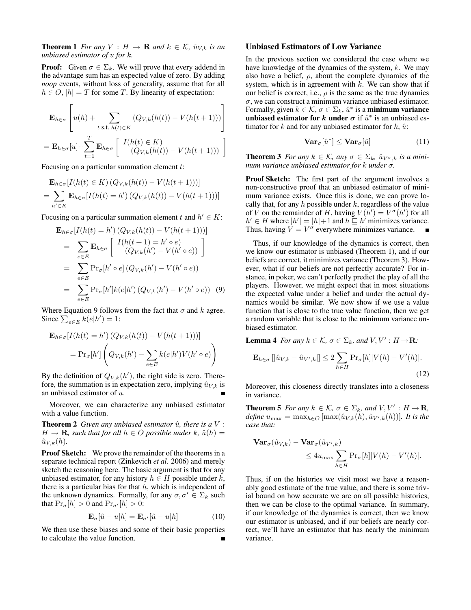**Theorem 1** *For any*  $V : H \to \mathbf{R}$  *and*  $k \in \mathcal{K}$ *,*  $\hat{u}_{V,k}$  *is an unbiased estimator of* u *for* k*.*

**Proof:** Given  $\sigma \in \Sigma_k$ . We will prove that every addend in the advantage sum has an expected value of zero. By adding *noop* events, without loss of generality, assume that for all  $h \in O$ ,  $|h| = T$  for some T. By linearity of expectation:

$$
\mathbf{E}_{h \in \sigma} \left[ u(h) + \sum_{t \text{ s.t. } h(t) \in K} (Q_{V,k}(h(t)) - V(h(t+1))) \right]
$$
  
=  $\mathbf{E}_{h \in \sigma}[u] + \sum_{t=1}^{T} \mathbf{E}_{h \in \sigma} \left[ \begin{array}{c} I(h(t) \in K) \\ (Q_{V,k}(h(t)) - V(h(t+1))) \end{array} \right]$ 

Focusing on a particular summation element t:

$$
\mathbf{E}_{h \in \sigma}[I(h(t) \in K) (Q_{V,k}(h(t)) - V(h(t+1)))]
$$
  
= 
$$
\sum_{h' \in K} \mathbf{E}_{h \in \sigma}[I(h(t) = h') (Q_{V,k}(h(t)) - V(h(t+1)))]
$$

Focusing on a particular summation element t and  $h' \in K$ :

$$
\mathbf{E}_{h \in \sigma}[I(h(t) = h') (Q_{V,k}(h(t)) - V(h(t+1)))]
$$
\n
$$
= \sum_{e \in E} \mathbf{E}_{h \in \sigma} \begin{bmatrix} I(h(t+1) = h' \circ e) \\ (Q_{V,k}(h') - V(h' \circ e)) \end{bmatrix}
$$
\n
$$
= \sum_{e \in E} \Pr_{\sigma}[h' \circ e] (Q_{V,k}(h') - V(h' \circ e))
$$
\n
$$
= \sum_{e \in E} \Pr_{\sigma}[h'] k(e|h') (Q_{V,k}(h') - V(h' \circ e)) \quad (9)
$$

Where Equation 9 follows from the fact that  $\sigma$  and k agree. Since  $\sum_{e \in E} k(e|h') = 1$ :

$$
\mathbf{E}_{h \in \sigma} [I(h(t) = h') (Q_{V,k}(h(t)) - V(h(t+1)))]
$$
  
=  $\Pr_{\sigma}[h'] \left( Q_{V,k}(h') - \sum_{e \in E} k(e|h') V(h' \circ e) \right)$ 

By the definition of  $Q_{V,k}(h')$ , the right side is zero. Therefore, the summation is in expectation zero, implying  $\hat{u}_{V,k}$  is an unbiased estimator of u.

Moreover, we can characterize any unbiased estimator with a value function.

**Theorem 2** *Given any unbiased estimator*  $\hat{u}$ *, there is a*  $V$  :  $H \to \mathbf{R}$ , such that for all  $h \in O$  possible under  $k$ ,  $\hat{u}(h) =$  $\hat{u}_{V,k}(h)$ .

**Proof Sketch:** We prove the remainder of the theorems in a separate technical report (Zinkevich *et al.* 2006) and merely sketch the reasoning here. The basic argument is that for any unbiased estimator, for any history  $h \in H$  possible under  $k$ , there is a particular bias for that  $h$ , which is independent of the unknown dynamics. Formally, for any  $\sigma, \sigma' \in \Sigma_k$  such that  $Pr_{\sigma}[h] > 0$  and  $Pr_{\sigma'}[h] > 0$ :

$$
\mathbf{E}_{\sigma}[\hat{u} - u|h] = \mathbf{E}_{\sigma'}[\hat{u} - u|h]
$$
 (10)

We then use these biases and some of their basic properties to calculate the value function.

## Unbiased Estimators of Low Variance

In the previous section we considered the case where we have knowledge of the dynamics of the system,  $k$ . We may also have a belief,  $\rho$ , about the complete dynamics of the system, which is in agreement with  $k$ . We can show that if our belief is correct, i.e.,  $\rho$  is the same as the true dynamics  $\sigma$ , we can construct a minimum variance unbiased estimator. Formally, given  $k \in \mathcal{K}$ ,  $\sigma \in \Sigma_k$ ,  $\hat{u}^*$  is a **minimum variance** unbiased estimator for k under  $\sigma$  if  $\hat{u}^*$  is an unbiased estimator for k and for any unbiased estimator for  $k$ ,  $\hat{u}$ :

$$
\mathbf{Var}_{\sigma}[\hat{u}^*] \leq \mathbf{Var}_{\sigma}[\hat{u}] \tag{11}
$$

**Theorem 3** *For any*  $k \in \mathcal{K}$ *, any*  $\sigma \in \Sigma_k$ *,*  $\hat{u}_{V^{\sigma},k}$  *is a minimum variance unbiased estimator for* k *under* σ*.*

Proof Sketch: The first part of the argument involves a non-constructive proof that an unbiased estimator of minimum variance exists. Once this is done, we can prove locally that, for any  $h$  possible under  $k$ , regardless of the value of V on the remainder of H, having  $V(h') = V^{\sigma}(h')$  for all  $h' \in H$  where  $|h'| = |h| + 1$  and  $h \sqsubseteq h'$  minimizes variance. Thus, having  $V = V^{\sigma}$  everywhere minimizes variance.

Thus, if our knowledge of the dynamics is correct, then we know our estimator is unbiased (Theorem 1), and if our beliefs are correct, it minimizes variance (Theorem 3). However, what if our beliefs are not perfectly accurate? For instance, in poker, we can't perfectly predict the play of all the players. However, we might expect that in most situations the expected value under a belief and under the actual dynamics would be similar. We now show if we use a value function that is close to the true value function, then we get a random variable that is close to the minimum variance unbiased estimator.

**Lemma 4** For any  $k \in \mathcal{K}$ ,  $\sigma \in \Sigma_k$ , and  $V, V' : H \rightarrow \mathbf{R}$ :

$$
\mathbf{E}_{h\in\sigma}\left[|\hat{u}_{V,k} - \hat{u}_{V',k}|\right] \le 2\sum_{h\in H} \Pr_{\sigma}[h]|V(h) - V'(h)|.
$$
\n(12)

Moreover, this closeness directly translates into a closeness in variance.

**Theorem 5** *For any*  $k \in \mathcal{K}$ ,  $\sigma \in \Sigma_k$ , and  $V, V' : H \rightarrow \mathbf{R}$ ,  $define \ u_{\text{max}} = \max_{h \in O} [\max(\hat{u}_{V,k}(h), \hat{u}_{V',k}(h))]$ *. It is the case that:*

$$
\begin{aligned} \mathbf{Var}_{\sigma}(\hat{u}_{V,k}) - \mathbf{Var}_{\sigma}(\hat{u}_{V',k}) \\ &\leq 4u_{\max} \sum_{h \in H} \Pr_{\sigma}[h] |V(h) - V'(h)|. \end{aligned}
$$

Thus, if on the histories we visit most we have a reasonably good estimate of the true value, and there is some trivial bound on how accurate we are on all possible histories, then we can be close to the optimal variance. In summary, if our knowledge of the dynamics is correct, then we know our estimator is unbiased, and if our beliefs are nearly correct, we'll have an estimator that has nearly the minimum variance.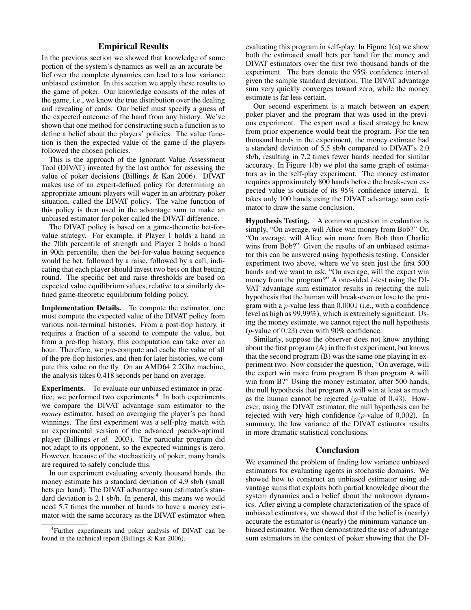# Empirical Results

In the previous section we showed that knowledge of some portion of the system's dynamics as well as an accurate belief over the complete dynamics can lead to a low variance unbiased estimator. In this section we apply these results to the game of poker. Our knowledge consists of the rules of the game, i.e., we know the true distribution over the dealing and revealing of cards. Our belief must specify a guess of the expected outcome of the hand from any history. We've shown that one method for constructing such a function is to define a belief about the players' policies. The value function is then the expected value of the game if the players followed the chosen policies.

This is the approach of the Ignorant Value Assessment Tool (DIVAT) invented by the last author for assessing the value of poker decisions (Billings & Kan 2006). DIVAT makes use of an expert-defined policy for determining an appropriate amount players will wager in an arbitrary poker situation, called the DIVAT policy. The value function of this policy is then used in the advantage sum to make an unbiased estimator for poker called the DIVAT difference.

The DIVAT policy is based on a game-theoretic bet-forvalue strategy. For example, if Player 1 holds a hand in the 70th percentile of strength and Player 2 holds a hand in 90th percentile, then the bet-for-value betting sequence would be bet, followed by a raise, followed by a call, indicating that each player should invest two bets on that betting round. The specific bet and raise thresholds are based on expected value equilibrium values, relative to a similarly defined game-theoretic equilibrium folding policy.

Implementation Details. To compute the estimator, one must compute the expected value of the DIVAT policy from various non-terminal histories. From a post-flop history, it requires a fraction of a second to compute the value, but from a pre-flop history, this computation can take over an hour. Therefore, we pre-compute and cache the value of all of the pre-flop histories, and then for later histories, we compute this value on the fly. On an AMD64 2.2Ghz machine, the analysis takes 0.418 seconds per hand on average.

Experiments. To evaluate our unbiased estimator in practice, we performed two experiments.<sup>4</sup> In both experiments we compare the DIVAT advantage sum estimator to the *money* estimator, based on averaging the player's per hand winnings. The first experiment was a self-play match with an experimental version of the advanced pseudo-optimal player (Billings *et al.* 2003). The particular program did not adapt to its opponent, so the expected winnings is zero. However, because of the stochasticity of poker, many hands are required to safely conclude this.

In our experiment evaluating seventy thousand hands, the money estimate has a standard deviation of 4.9 sb/h (small bets per hand). The DIVAT advantage sum estimator's standard deviation is 2.1 sb/h. In general, this means we would need 5.7 times the number of hands to have a money estimator with the same accuracy as the DIVAT estimator when evaluating this program in self-play. In Figure 1(a) we show both the estimated small bets per hand for the money and DIVAT estimators over the first two thousand hands of the experiment. The bars denote the 95% confidence interval given the sample standard deviation. The DIVAT advantage sum very quickly converges toward zero, while the money estimate is far less certain.

Our second experiment is a match between an expert poker player and the program that was used in the previous experiment. The expert used a fixed strategy he knew from prior experience would beat the program. For the ten thousand hands in the experiment, the money estimate had a standard deviation of 5.5 sb/h compared to DIVAT's 2.0 sb/h, resulting in 7.2 times fewer hands needed for similar accuracy. In Figure 1(b) we plot the same graph of estimators as in the self-play experiment. The money estimator requires approximately 800 hands before the break-even expected value is outside of its 95% confidence interval. It takes only 100 hands using the DIVAT advantage sum estimator to draw the same conclusion.

Hypothesis Testing. A common question in evaluation is simply, "On average, will Alice win money from Bob?" Or, "On average, will Alice win more from Bob than Charlie wins from Bob?" Given the results of an unbiased estimator this can be answered using hypothesis testing. Consider experiment two above, where we've seen just the first 500 hands and we want to ask, "On average, will the expert win money from the program?" A one-sided  $t$ -test using the DI-VAT advantage sum estimator results in rejecting the null hypothesis that the human will break-even or lose to the program with a  $p$ -value less than  $0.0001$  (i.e., with a confidence level as high as 99.99%), which is extremely significant. Using the money estimate, we cannot reject the null hypothesis ( $p$ -value of 0.23) even with 90% confidence.

Similarly, suppose the observer does not know anything about the first program (A) in the first experiment, but knows that the second program (B) was the same one playing in experiment two. Now consider the question, "On average, will the expert win more from program B than program A will win from B?" Using the money estimator, after 500 hands, the null hypothesis that program A will win at least as much as the human cannot be rejected ( $p$ -value of 0.43). However, using the DIVAT estimator, the null hypothesis can be rejected with very high confidence (p-value of 0.002). In summary, the low variance of the DIVAT estimator results in more dramatic statistical conclusions.

## Conclusion

We examined the problem of finding low variance unbiased estimators for evaluating agents in stochastic domains. We showed how to construct an unbiased estimator using advantage sums that exploits both partial knowledge about the system dynamics and a belief about the unknown dynamics. After giving a complete characterization of the space of unbiased estimators, we showed that if the belief is (nearly) accurate the estimator is (nearly) the minimum variance unbiased estimator. We then demonstrated the use of advantage sum estimators in the context of poker showing that the DI-

<sup>4</sup> Further experiments and poker analysis of DIVAT can be found in the technical report (Billings & Kan 2006).